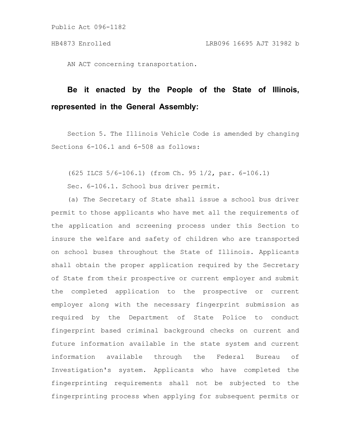AN ACT concerning transportation.

# **Be it enacted by the People of the State of Illinois, represented in the General Assembly:**

Section 5. The Illinois Vehicle Code is amended by changing Sections 6-106.1 and 6-508 as follows:

(625 ILCS 5/6-106.1) (from Ch. 95 1/2, par. 6-106.1)

Sec. 6-106.1. School bus driver permit.

(a) The Secretary of State shall issue a school bus driver permit to those applicants who have met all the requirements of the application and screening process under this Section to insure the welfare and safety of children who are transported on school buses throughout the State of Illinois. Applicants shall obtain the proper application required by the Secretary of State from their prospective or current employer and submit the completed application to the prospective or current employer along with the necessary fingerprint submission as required by the Department of State Police to conduct fingerprint based criminal background checks on current and future information available in the state system and current information available through the Federal Bureau of Investigation's system. Applicants who have completed the fingerprinting requirements shall not be subjected to the fingerprinting process when applying for subsequent permits or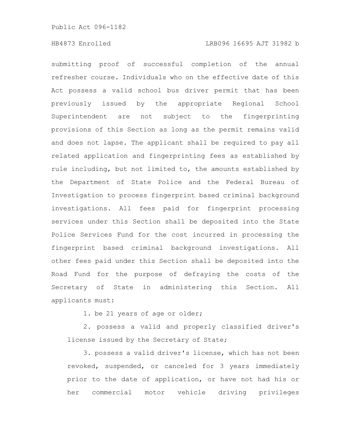# HB4873 Enrolled LRB096 16695 AJT 31982 b

submitting proof of successful completion of the annual refresher course. Individuals who on the effective date of this Act possess a valid school bus driver permit that has been previously issued by the appropriate Regional School Superintendent are not subject to the fingerprinting provisions of this Section as long as the permit remains valid and does not lapse. The applicant shall be required to pay all related application and fingerprinting fees as established by rule including, but not limited to, the amounts established by the Department of State Police and the Federal Bureau of Investigation to process fingerprint based criminal background investigations. All fees paid for fingerprint processing services under this Section shall be deposited into the State Police Services Fund for the cost incurred in processing the fingerprint based criminal background investigations. All other fees paid under this Section shall be deposited into the Road Fund for the purpose of defraying the costs of the Secretary of State in administering this Section. All applicants must:

1. be 21 years of age or older;

2. possess a valid and properly classified driver's license issued by the Secretary of State;

3. possess a valid driver's license, which has not been revoked, suspended, or canceled for 3 years immediately prior to the date of application, or have not had his or her commercial motor vehicle driving privileges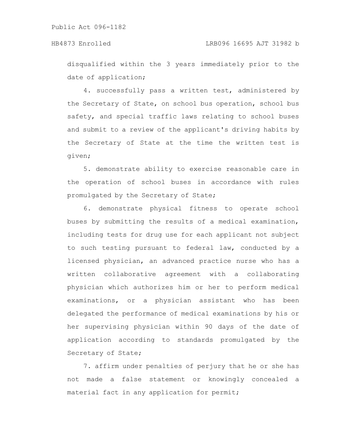disqualified within the 3 years immediately prior to the date of application;

4. successfully pass a written test, administered by the Secretary of State, on school bus operation, school bus safety, and special traffic laws relating to school buses and submit to a review of the applicant's driving habits by the Secretary of State at the time the written test is given;

5. demonstrate ability to exercise reasonable care in the operation of school buses in accordance with rules promulgated by the Secretary of State;

6. demonstrate physical fitness to operate school buses by submitting the results of a medical examination, including tests for drug use for each applicant not subject to such testing pursuant to federal law, conducted by a licensed physician, an advanced practice nurse who has a written collaborative agreement with a collaborating physician which authorizes him or her to perform medical examinations, or a physician assistant who has been delegated the performance of medical examinations by his or her supervising physician within 90 days of the date of application according to standards promulgated by the Secretary of State;

7. affirm under penalties of perjury that he or she has not made a false statement or knowingly concealed a material fact in any application for permit;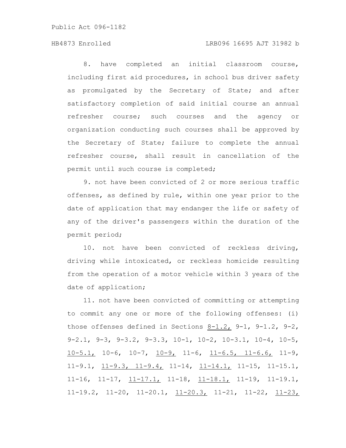# HB4873 Enrolled LRB096 16695 AJT 31982 b

8. have completed an initial classroom course, including first aid procedures, in school bus driver safety as promulgated by the Secretary of State; and after satisfactory completion of said initial course an annual refresher course; such courses and the agency or organization conducting such courses shall be approved by the Secretary of State; failure to complete the annual refresher course, shall result in cancellation of the permit until such course is completed;

9. not have been convicted of 2 or more serious traffic offenses, as defined by rule, within one year prior to the date of application that may endanger the life or safety of any of the driver's passengers within the duration of the permit period;

10. not have been convicted of reckless driving, driving while intoxicated, or reckless homicide resulting from the operation of a motor vehicle within 3 years of the date of application;

11. not have been convicted of committing or attempting to commit any one or more of the following offenses: (i) those offenses defined in Sections 8-1.2, 9-1, 9-1.2, 9-2, 9-2.1, 9-3, 9-3.2, 9-3.3, 10-1, 10-2, 10-3.1, 10-4, 10-5,  $10-5.1$ ,  $10-6$ ,  $10-7$ ,  $10-9$ ,  $11-6$ ,  $11-6.5$ ,  $11-6.6$ ,  $11-9$ ,  $11-9.1$ ,  $11-9.3$ ,  $11-9.4$ ,  $11-14$ ,  $11-14.1$ ,  $11-15$ ,  $11-15.1$ 11-16, 11-17,  $11-17$ , 11-18,  $11-18$ , 11-19, 11-19.1, 11-19.2, 11-20, 11-20.1, 11-20.3, 11-21, 11-22, 11-23,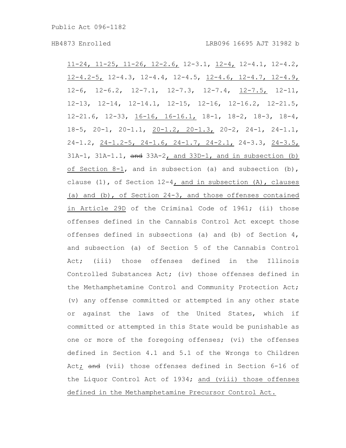$11-24$ ,  $11-25$ ,  $11-26$ ,  $12-2.6$ ,  $12-3.1$ ,  $12-4$ ,  $12-4.1$ ,  $12-4.2$ , 12-4.2-5, 12-4.3, 12-4.4, 12-4.5, 12-4.6, 12-4.7, 12-4.9, 12-6, 12-6.2, 12-7.1, 12-7.3, 12-7.4, 12-7.5, 12-11, 12-13, 12-14, 12-14.1, 12-15, 12-16, 12-16.2, 12-21.5, 12-21.6, 12-33, 16-16, 16-16.1, 18-1, 18-2, 18-3, 18-4, 18-5, 20-1, 20-1.1, 20-1.2, 20-1.3, 20-2, 24-1, 24-1.1, 24-1.2, 24-1.2-5, 24-1.6, 24-1.7, 24-2.1, 24-3.3, 24-3.5,  $31A-1$ ,  $31A-1.1$ ,  $\frac{and}{33A-2}$ , and  $33D-1$ , and in subsection (b) of Section 8-1, and in subsection (a) and subsection (b), clause (1), of Section 12-4, and in subsection (A), clauses (a) and  $(b)$ , of Section 24-3, and those offenses contained in Article 29D of the Criminal Code of 1961; (ii) those offenses defined in the Cannabis Control Act except those offenses defined in subsections (a) and (b) of Section 4, and subsection (a) of Section 5 of the Cannabis Control Act; (iii) those offenses defined in the Illinois Controlled Substances Act; (iv) those offenses defined in the Methamphetamine Control and Community Protection Act; (v) any offense committed or attempted in any other state or against the laws of the United States, which if committed or attempted in this State would be punishable as one or more of the foregoing offenses; (vi) the offenses defined in Section 4.1 and 5.1 of the Wrongs to Children Act; and (vii) those offenses defined in Section 6-16 of the Liquor Control Act of 1934; and (viii) those offenses defined in the Methamphetamine Precursor Control Act.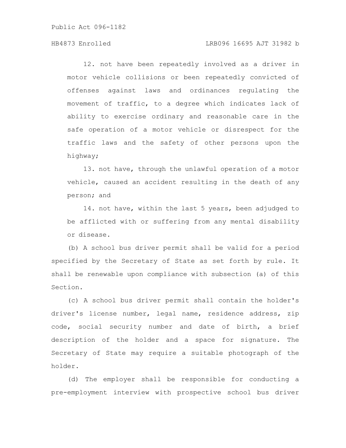# HB4873 Enrolled LRB096 16695 AJT 31982 b

12. not have been repeatedly involved as a driver in motor vehicle collisions or been repeatedly convicted of offenses against laws and ordinances regulating the movement of traffic, to a degree which indicates lack of ability to exercise ordinary and reasonable care in the safe operation of a motor vehicle or disrespect for the traffic laws and the safety of other persons upon the highway;

13. not have, through the unlawful operation of a motor vehicle, caused an accident resulting in the death of any person; and

14. not have, within the last 5 years, been adjudged to be afflicted with or suffering from any mental disability or disease.

(b) A school bus driver permit shall be valid for a period specified by the Secretary of State as set forth by rule. It shall be renewable upon compliance with subsection (a) of this Section.

(c) A school bus driver permit shall contain the holder's driver's license number, legal name, residence address, zip code, social security number and date of birth, a brief description of the holder and a space for signature. The Secretary of State may require a suitable photograph of the holder.

(d) The employer shall be responsible for conducting a pre-employment interview with prospective school bus driver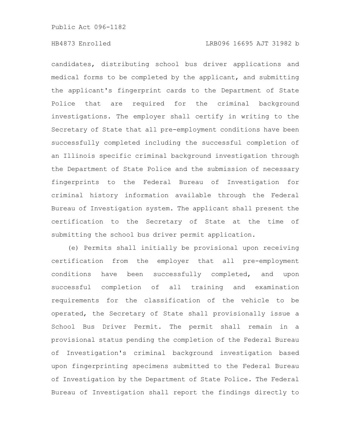# HB4873 Enrolled LRB096 16695 AJT 31982 b

candidates, distributing school bus driver applications and medical forms to be completed by the applicant, and submitting the applicant's fingerprint cards to the Department of State Police that are required for the criminal background investigations. The employer shall certify in writing to the Secretary of State that all pre-employment conditions have been successfully completed including the successful completion of an Illinois specific criminal background investigation through the Department of State Police and the submission of necessary fingerprints to the Federal Bureau of Investigation for criminal history information available through the Federal Bureau of Investigation system. The applicant shall present the certification to the Secretary of State at the time of submitting the school bus driver permit application.

(e) Permits shall initially be provisional upon receiving certification from the employer that all pre-employment conditions have been successfully completed, and upon successful completion of all training and examination requirements for the classification of the vehicle to be operated, the Secretary of State shall provisionally issue a School Bus Driver Permit. The permit shall remain in a provisional status pending the completion of the Federal Bureau of Investigation's criminal background investigation based upon fingerprinting specimens submitted to the Federal Bureau of Investigation by the Department of State Police. The Federal Bureau of Investigation shall report the findings directly to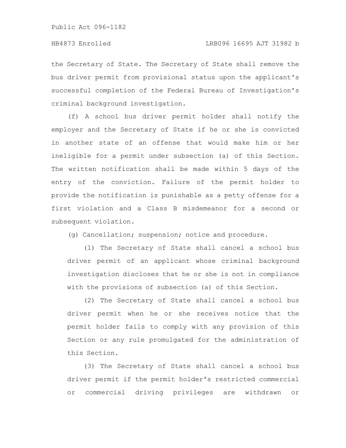the Secretary of State. The Secretary of State shall remove the bus driver permit from provisional status upon the applicant's successful completion of the Federal Bureau of Investigation's criminal background investigation.

(f) A school bus driver permit holder shall notify the employer and the Secretary of State if he or she is convicted in another state of an offense that would make him or her ineligible for a permit under subsection (a) of this Section. The written notification shall be made within 5 days of the entry of the conviction. Failure of the permit holder to provide the notification is punishable as a petty offense for a first violation and a Class B misdemeanor for a second or subsequent violation.

(g) Cancellation; suspension; notice and procedure.

(1) The Secretary of State shall cancel a school bus driver permit of an applicant whose criminal background investigation discloses that he or she is not in compliance with the provisions of subsection (a) of this Section.

(2) The Secretary of State shall cancel a school bus driver permit when he or she receives notice that the permit holder fails to comply with any provision of this Section or any rule promulgated for the administration of this Section.

(3) The Secretary of State shall cancel a school bus driver permit if the permit holder's restricted commercial or commercial driving privileges are withdrawn or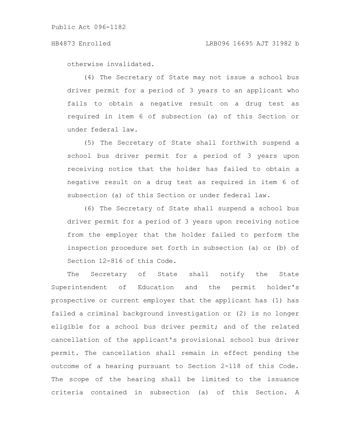### HB4873 Enrolled LRB096 16695 AJT 31982 b

otherwise invalidated.

(4) The Secretary of State may not issue a school bus driver permit for a period of 3 years to an applicant who fails to obtain a negative result on a drug test as required in item 6 of subsection (a) of this Section or under federal law.

(5) The Secretary of State shall forthwith suspend a school bus driver permit for a period of 3 years upon receiving notice that the holder has failed to obtain a negative result on a drug test as required in item 6 of subsection (a) of this Section or under federal law.

(6) The Secretary of State shall suspend a school bus driver permit for a period of 3 years upon receiving notice from the employer that the holder failed to perform the inspection procedure set forth in subsection (a) or (b) of Section 12-816 of this Code.

The Secretary of State shall notify the State Superintendent of Education and the permit holder's prospective or current employer that the applicant has (1) has failed a criminal background investigation or (2) is no longer eligible for a school bus driver permit; and of the related cancellation of the applicant's provisional school bus driver permit. The cancellation shall remain in effect pending the outcome of a hearing pursuant to Section 2-118 of this Code. The scope of the hearing shall be limited to the issuance criteria contained in subsection (a) of this Section. A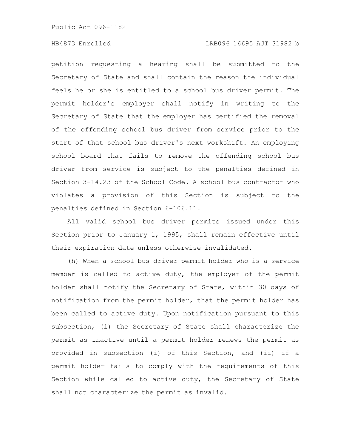# HB4873 Enrolled LRB096 16695 AJT 31982 b

petition requesting a hearing shall be submitted to the Secretary of State and shall contain the reason the individual feels he or she is entitled to a school bus driver permit. The permit holder's employer shall notify in writing to the Secretary of State that the employer has certified the removal of the offending school bus driver from service prior to the start of that school bus driver's next workshift. An employing school board that fails to remove the offending school bus driver from service is subject to the penalties defined in Section 3-14.23 of the School Code. A school bus contractor who violates a provision of this Section is subject to the penalties defined in Section 6-106.11.

All valid school bus driver permits issued under this Section prior to January 1, 1995, shall remain effective until their expiration date unless otherwise invalidated.

(h) When a school bus driver permit holder who is a service member is called to active duty, the employer of the permit holder shall notify the Secretary of State, within 30 days of notification from the permit holder, that the permit holder has been called to active duty. Upon notification pursuant to this subsection, (i) the Secretary of State shall characterize the permit as inactive until a permit holder renews the permit as provided in subsection (i) of this Section, and (ii) if a permit holder fails to comply with the requirements of this Section while called to active duty, the Secretary of State shall not characterize the permit as invalid.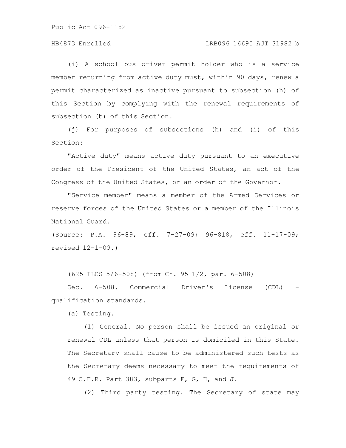# HB4873 Enrolled LRB096 16695 AJT 31982 b

(i) A school bus driver permit holder who is a service member returning from active duty must, within 90 days, renew a permit characterized as inactive pursuant to subsection (h) of this Section by complying with the renewal requirements of subsection (b) of this Section.

(j) For purposes of subsections (h) and (i) of this Section:

"Active duty" means active duty pursuant to an executive order of the President of the United States, an act of the Congress of the United States, or an order of the Governor.

"Service member" means a member of the Armed Services or reserve forces of the United States or a member of the Illinois National Guard.

(Source: P.A. 96-89, eff. 7-27-09; 96-818, eff. 11-17-09; revised 12-1-09.)

(625 ILCS 5/6-508) (from Ch. 95 1/2, par. 6-508)

Sec. 6-508. Commercial Driver's License (CDL) qualification standards.

(a) Testing.

(1) General. No person shall be issued an original or renewal CDL unless that person is domiciled in this State. The Secretary shall cause to be administered such tests as the Secretary deems necessary to meet the requirements of 49 C.F.R. Part 383, subparts F, G, H, and J.

(2) Third party testing. The Secretary of state may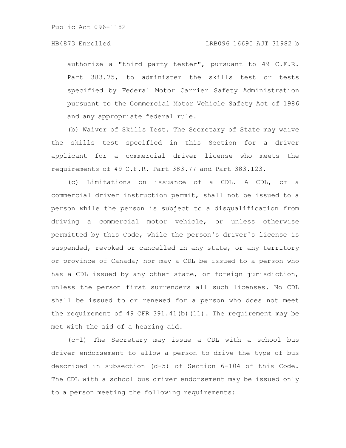authorize a "third party tester", pursuant to 49 C.F.R. Part 383.75, to administer the skills test or tests specified by Federal Motor Carrier Safety Administration pursuant to the Commercial Motor Vehicle Safety Act of 1986 and any appropriate federal rule.

(b) Waiver of Skills Test. The Secretary of State may waive the skills test specified in this Section for a driver applicant for a commercial driver license who meets the requirements of 49 C.F.R. Part 383.77 and Part 383.123.

(c) Limitations on issuance of a CDL. A CDL, or a commercial driver instruction permit, shall not be issued to a person while the person is subject to a disqualification from driving a commercial motor vehicle, or unless otherwise permitted by this Code, while the person's driver's license is suspended, revoked or cancelled in any state, or any territory or province of Canada; nor may a CDL be issued to a person who has a CDL issued by any other state, or foreign jurisdiction, unless the person first surrenders all such licenses. No CDL shall be issued to or renewed for a person who does not meet the requirement of 49 CFR 391.41(b)(11). The requirement may be met with the aid of a hearing aid.

(c-1) The Secretary may issue a CDL with a school bus driver endorsement to allow a person to drive the type of bus described in subsection (d-5) of Section 6-104 of this Code. The CDL with a school bus driver endorsement may be issued only to a person meeting the following requirements: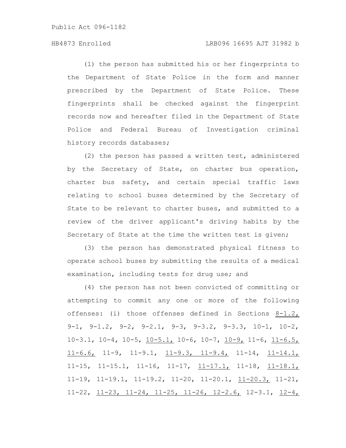# HB4873 Enrolled LRB096 16695 AJT 31982 b

(1) the person has submitted his or her fingerprints to the Department of State Police in the form and manner prescribed by the Department of State Police. These fingerprints shall be checked against the fingerprint records now and hereafter filed in the Department of State Police and Federal Bureau of Investigation criminal history records databases;

(2) the person has passed a written test, administered by the Secretary of State, on charter bus operation, charter bus safety, and certain special traffic laws relating to school buses determined by the Secretary of State to be relevant to charter buses, and submitted to a review of the driver applicant's driving habits by the Secretary of State at the time the written test is given;

(3) the person has demonstrated physical fitness to operate school buses by submitting the results of a medical examination, including tests for drug use; and

(4) the person has not been convicted of committing or attempting to commit any one or more of the following offenses: (i) those offenses defined in Sections 8-1.2, 9-1, 9-1.2, 9-2, 9-2.1, 9-3, 9-3.2, 9-3.3, 10-1, 10-2, 10-3.1, 10-4, 10-5,  $\underline{10-5.1}$ , 10-6, 10-7,  $\underline{10-9}$ , 11-6,  $\underline{11-6.5}$ , 11-6.6, 11-9, 11-9.1, 11-9.3, 11-9.4, 11-14, 11-14.1,  $11-15$ ,  $11-15.1$ ,  $11-16$ ,  $11-17$ ,  $11-17.1$ ,  $11-18$ ,  $11-18.1$ , 11-19, 11-19.1, 11-19.2, 11-20, 11-20.1, 11-20.3, 11-21, 11-22, 11-23, 11-24, 11-25, 11-26, 12-2.6, 12-3.1, 12-4,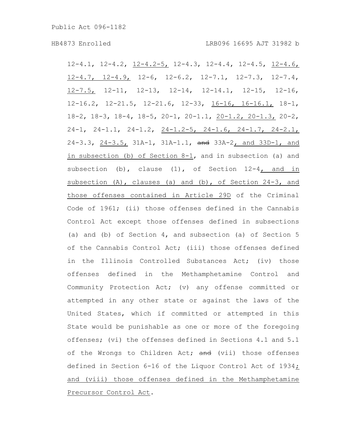12-4.1, 12-4.2, 12-4.2-5, 12-4.3, 12-4.4, 12-4.5, 12-4.6, 12-4.7, 12-4.9, 12-6, 12-6.2, 12-7.1, 12-7.3, 12-7.4, 12-7.5, 12-11, 12-13, 12-14, 12-14.1, 12-15, 12-16, 12-16.2, 12-21.5, 12-21.6, 12-33, 16-16, 16-16.1, 18-1, 18-2, 18-3, 18-4, 18-5, 20-1, 20-1.1, 20-1.2, 20-1.3, 20-2, 24-1, 24-1.1, 24-1.2, 24-1.2-5, 24-1.6, 24-1.7, 24-2.1, 24-3.3, 24-3.5, 31A-1, 31A-1.1, and 33A-2, and 33D-1, and in subsection (b) of Section 8-1, and in subsection (a) and subsection (b), clause  $(1)$ , of Section  $12-4$ , and in subsection (A), clauses (a) and (b), of Section 24-3, and those offenses contained in Article 29D of the Criminal Code of 1961; (ii) those offenses defined in the Cannabis Control Act except those offenses defined in subsections (a) and (b) of Section 4, and subsection (a) of Section 5 of the Cannabis Control Act; (iii) those offenses defined in the Illinois Controlled Substances Act; (iv) those offenses defined in the Methamphetamine Control and Community Protection Act; (v) any offense committed or attempted in any other state or against the laws of the United States, which if committed or attempted in this State would be punishable as one or more of the foregoing offenses; (vi) the offenses defined in Sections 4.1 and 5.1 of the Wrongs to Children Act; and (vii) those offenses defined in Section 6-16 of the Liquor Control Act of 1934; and (viii) those offenses defined in the Methamphetamine Precursor Control Act.